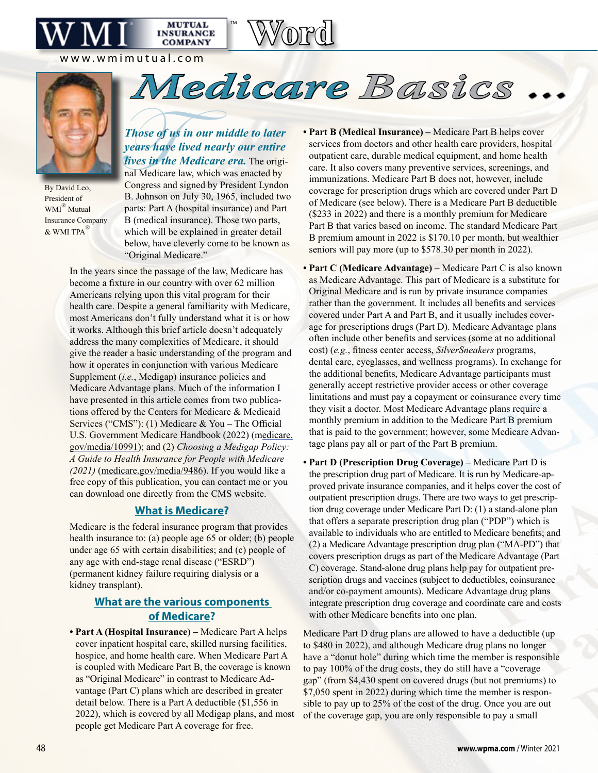www.wmimutual.com



By David Leo, President of WMI® Mutual Insurance Company & WMI TPA®

# Those of<br>years hat<br>lives in the<br>nal Medica<br>Congress at *Those of us in our middle to later years have lived nearly our entire lives in the Medicare era.* The origi-

**MUTUAL INSURANCE COMPANY** 

™

**Word**

*Medicare Basics ...*

nal Medicare law, which was enacted by Congress and signed by President Lyndon B. Johnson on July 30, 1965, included two parts: Part A (hospital insurance) and Part B (medical insurance). Those two parts, which will be explained in greater detail below, have cleverly come to be known as "Original Medicare."

In the years since the passage of the law, Medicare has become a fixture in our country with over 62 million Americans relying upon this vital program for their health care. Despite a general familiarity with Medicare, most Americans don't fully understand what it is or how it works. Although this brief article doesn't adequately address the many complexities of Medicare, it should give the reader a basic understanding of the program and how it operates in conjunction with various Medicare Supplement *(<i>i.e.*, Medigap) insurance policies and Medicare Advantage plans. Much of the information I have presented in this article comes from two publications offered by the Centers for Medicare & Medicaid Services ("CMS"): (1) Medicare & You – The Official U.S. Government Medicare Handbook (2022) (medicare. gov/media/10991); and (2) *Choosing a Medigap Policy: A Guide to Health Insurance for People with Medicare (2021)* (medicare.gov/media/9486). If you would like a free copy of this publication, you can contact me or you can download one directly from the CMS website.

### **What is Medicare?**

Medicare is the federal insurance program that provides health insurance to: (a) people age 65 or older; (b) people under age 65 with certain disabilities; and (c) people of any age with end-stage renal disease ("ESRD") (permanent kidney failure requiring dialysis or a kidney transplant).

## **What are the various components of Medicare?**

**• Part A (Hospital Insurance) –** Medicare Part A helps cover inpatient hospital care, skilled nursing facilities, hospice, and home health care. When Medicare Part A is coupled with Medicare Part B, the coverage is known as "Original Medicare" in contrast to Medicare Advantage (Part C) plans which are described in greater detail below. There is a Part A deductible (\$1,556 in 2022), which is covered by all Medigap plans, and most people get Medicare Part A coverage for free.

- **Part B (Medical Insurance) –** Medicare Part B helps cover services from doctors and other health care providers, hospital outpatient care, durable medical equipment, and home health care. It also covers many preventive services, screenings, and immunizations. Medicare Part B does not, however, include coverage for prescription drugs which are covered under Part D of Medicare (see below). There is a Medicare Part B deductible (\$233 in 2022) and there is a monthly premium for Medicare Part B that varies based on income. The standard Medicare Part B premium amount in 2022 is \$170.10 per month, but wealthier seniors will pay more (up to \$578.30 per month in 2022).
- **Part C (Medicare Advantage) –** Medicare Part C is also known as Medicare Advantage. This part of Medicare is a substitute for Original Medicare and is run by private insurance companies rather than the government. It includes all benefits and services covered under Part A and Part B, and it usually includes coverage for prescriptions drugs (Part D). Medicare Advantage plans often include other benefits and services (some at no additional cost) (*e.g.*, fitness center access, *SilverSneakers* programs, dental care, eyeglasses, and wellness programs). In exchange for the additional benefits, Medicare Advantage participants must generally accept restrictive provider access or other coverage limitations and must pay a copayment or coinsurance every time they visit a doctor. Most Medicare Advantage plans require a monthly premium in addition to the Medicare Part B premium that is paid to the government; however, some Medicare Advantage plans pay all or part of the Part B premium.
- **Part D (Prescription Drug Coverage) –** Medicare Part D is the prescription drug part of Medicare. It is run by Medicare-approved private insurance companies, and it helps cover the cost of outpatient prescription drugs. There are two ways to get prescription drug coverage under Medicare Part D: (1) a stand-alone plan that offers a separate prescription drug plan ("PDP") which is available to individuals who are entitled to Medicare benefits; and (2) a Medicare Advantage prescription drug plan ("MA-PD") that covers prescription drugs as part of the Medicare Advantage (Part C) coverage. Stand-alone drug plans help pay for outpatient prescription drugs and vaccines (subject to deductibles, coinsurance and/or co-payment amounts). Medicare Advantage drug plans integrate prescription drug coverage and coordinate care and costs with other Medicare benefits into one plan.

Medicare Part D drug plans are allowed to have a deductible (up to \$480 in 2022), and although Medicare drug plans no longer have a "donut hole" during which time the member is responsible to pay 100% of the drug costs, they do still have a "coverage gap" (from \$4,430 spent on covered drugs (but not premiums) to \$7,050 spent in 2022) during which time the member is responsible to pay up to 25% of the cost of the drug. Once you are out of the coverage gap, you are only responsible to pay a small